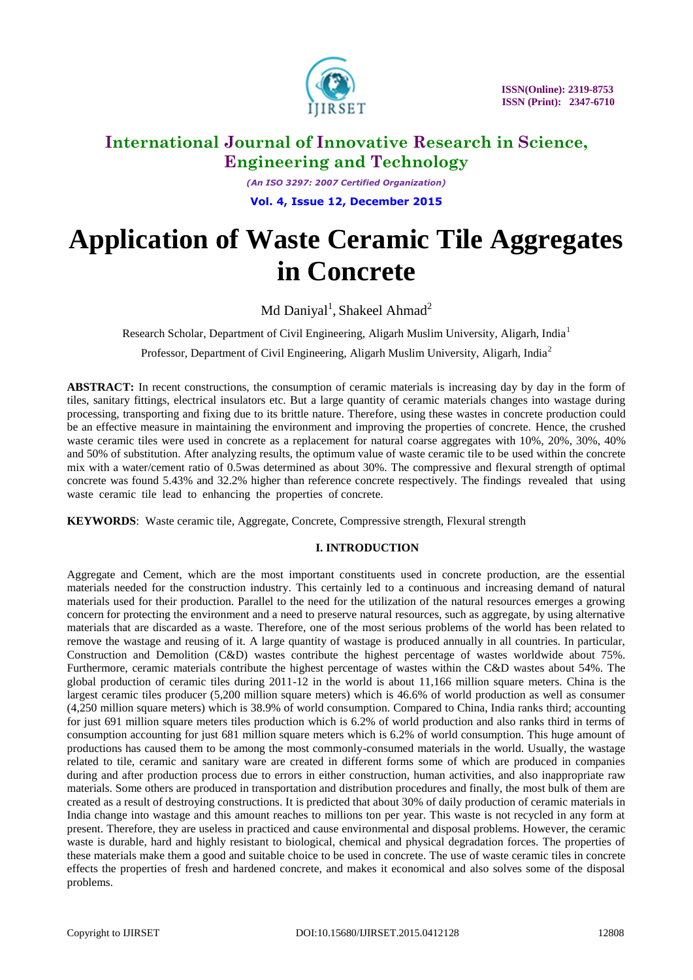

*(An ISO 3297: 2007 Certified Organization)* **Vol. 4, Issue 12, December 2015**

# **Application of Waste Ceramic Tile Aggregates in Concrete**

Md Daniyal<sup>1</sup>, Shakeel Ahmad<sup>2</sup>

Research Scholar, Department of Civil Engineering, Aligarh Muslim University, Aligarh, India<sup>1</sup>

Professor, Department of Civil Engineering, Aligarh Muslim University, Aligarh, India<sup>2</sup>

**ABSTRACT:** In recent constructions, the consumption of ceramic materials is increasing day by day in the form of tiles, sanitary fittings, electrical insulators etc. But a large quantity of ceramic materials changes into wastage during processing, transporting and fixing due to its brittle nature. Therefore, using these wastes in concrete production could be an effective measure in maintaining the environment and improving the properties of concrete. Hence, the crushed waste ceramic tiles were used in concrete as a replacement for natural coarse aggregates with 10%, 20%, 30%, 40% and 50% of substitution. After analyzing results, the optimum value of waste ceramic tile to be used within the concrete mix with a water/cement ratio of 0.5was determined as about 30%. The compressive and flexural strength of optimal concrete was found 5.43% and 32.2% higher than reference concrete respectively. The findings revealed that using waste ceramic tile lead to enhancing the properties of concrete.

**KEYWORDS**: Waste ceramic tile, Aggregate, Concrete, Compressive strength, Flexural strength

# **I. INTRODUCTION**

Aggregate and Cement, which are the most important constituents used in concrete production, are the essential materials needed for the construction industry. This certainly led to a continuous and increasing demand of natural materials used for their production. Parallel to the need for the utilization of the natural resources emerges a growing concern for protecting the environment and a need to preserve natural resources, such as aggregate, by using alternative materials that are discarded as a waste. Therefore, one of the most serious problems of the world has been related to remove the wastage and reusing of it. A large quantity of wastage is produced annually in all countries. In particular, Construction and Demolition (C&D) wastes contribute the highest percentage of wastes worldwide about 75%. Furthermore, ceramic materials contribute the highest percentage of wastes within the C&D wastes about 54%. The global production of ceramic tiles during 2011-12 in the world is about 11,166 million square meters. China is the largest ceramic tiles producer (5,200 million square meters) which is 46.6% of world production as well as consumer (4,250 million square meters) which is 38.9% of world consumption. Compared to China, India ranks third; accounting for just 691 million square meters tiles production which is 6.2% of world production and also ranks third in terms of consumption accounting for just 681 million square meters which is 6.2% of world consumption. This huge amount of productions has caused them to be among the most commonly-consumed materials in the world. Usually, the wastage related to tile, ceramic and sanitary ware are created in different forms some of which are produced in companies during and after production process due to errors in either construction, human activities, and also inappropriate raw materials. Some others are produced in transportation and distribution procedures and finally, the most bulk of them are created as a result of destroying constructions. It is predicted that about 30% of daily production of ceramic materials in India change into wastage and this amount reaches to millions ton per year. This waste is not recycled in any form at present. Therefore, they are useless in practiced and cause environmental and disposal problems. However, the ceramic waste is durable, hard and highly resistant to biological, chemical and physical degradation forces. The properties of these materials make them a good and suitable choice to be used in concrete. The use of waste ceramic tiles in concrete effects the properties of fresh and hardened concrete, and makes it economical and also solves some of the disposal problems.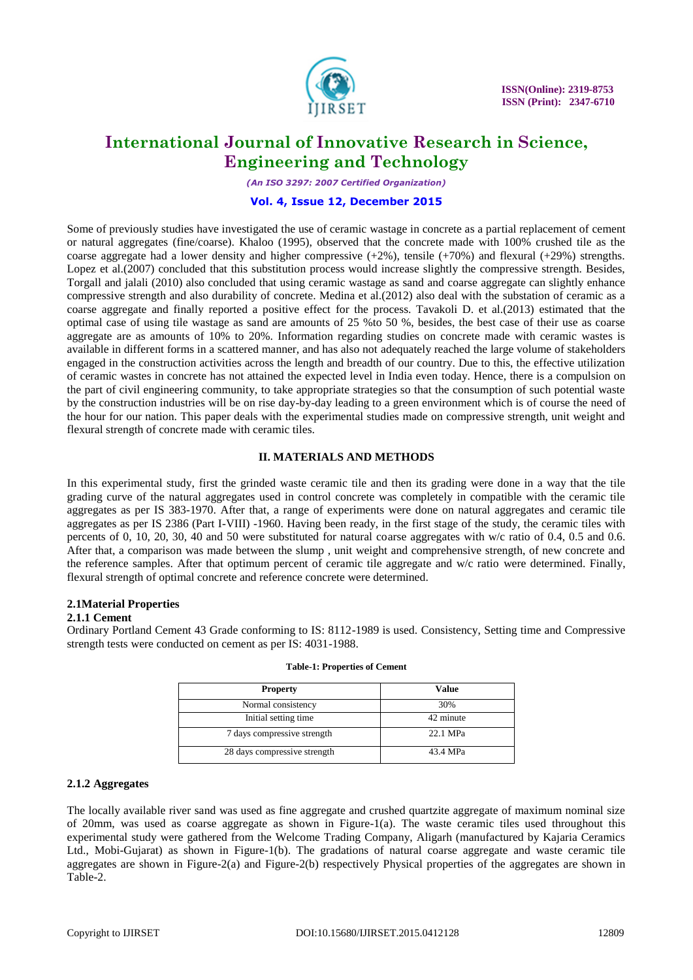

*(An ISO 3297: 2007 Certified Organization)*

### **Vol. 4, Issue 12, December 2015**

Some of previously studies have investigated the use of ceramic wastage in concrete as a partial replacement of cement or natural aggregates (fine/coarse). Khaloo (1995), observed that the concrete made with 100% crushed tile as the coarse aggregate had a lower density and higher compressive  $(+2%)$ , tensile  $(+70%)$  and flexural  $(+29%)$  strengths. Lopez et al.(2007) concluded that this substitution process would increase slightly the compressive strength. Besides, Torgall and jalali (2010) also concluded that using ceramic wastage as sand and coarse aggregate can slightly enhance compressive strength and also durability of concrete. Medina et al.(2012) also deal with the substation of ceramic as a coarse aggregate and finally reported a positive effect for the process. Tavakoli D. et al.(2013) estimated that the optimal case of using tile wastage as sand are amounts of 25 %to 50 %, besides, the best case of their use as coarse aggregate are as amounts of 10% to 20%. Information regarding studies on concrete made with ceramic wastes is available in different forms in a scattered manner, and has also not adequately reached the large volume of stakeholders engaged in the construction activities across the length and breadth of our country. Due to this, the effective utilization of ceramic wastes in concrete has not attained the expected level in India even today. Hence, there is a compulsion on the part of civil engineering community, to take appropriate strategies so that the consumption of such potential waste by the construction industries will be on rise day-by-day leading to a green environment which is of course the need of the hour for our nation. This paper deals with the experimental studies made on compressive strength, unit weight and flexural strength of concrete made with ceramic tiles.

### **II. MATERIALS AND METHODS**

In this experimental study, first the grinded waste ceramic tile and then its grading were done in a way that the tile grading curve of the natural aggregates used in control concrete was completely in compatible with the ceramic tile aggregates as per IS 383-1970. After that, a range of experiments were done on natural aggregates and ceramic tile aggregates as per IS 2386 (Part I-VIII) -1960. Having been ready, in the first stage of the study, the ceramic tiles with percents of 0, 10, 20, 30, 40 and 50 were substituted for natural coarse aggregates with w/c ratio of 0.4, 0.5 and 0.6. After that, a comparison was made between the slump , unit weight and comprehensive strength, of new concrete and the reference samples. After that optimum percent of ceramic tile aggregate and w/c ratio were determined. Finally, flexural strength of optimal concrete and reference concrete were determined.

# **2.1Material Properties**

# **2.1.1 Cement**

Ordinary Portland Cement 43 Grade conforming to IS: 8112-1989 is used. Consistency, Setting time and Compressive strength tests were conducted on cement as per IS: 4031-1988.

| <b>Property</b>              | Value     |
|------------------------------|-----------|
| Normal consistency           | 30%       |
| Initial setting time         | 42 minute |
| 7 days compressive strength  | 22.1 MPa  |
| 28 days compressive strength | 43.4 MPa  |

#### **Table-1: Properties of Cement**

### **2.1.2 Aggregates**

The locally available river sand was used as fine aggregate and crushed quartzite aggregate of maximum nominal size of 20mm, was used as coarse aggregate as shown in Figure-1(a). The waste ceramic tiles used throughout this experimental study were gathered from the Welcome Trading Company, Aligarh (manufactured by Kajaria Ceramics Ltd., Mobi-Gujarat) as shown in Figure-1(b). The gradations of natural coarse aggregate and waste ceramic tile aggregates are shown in Figure-2(a) and Figure-2(b) respectively Physical properties of the aggregates are shown in Table-2.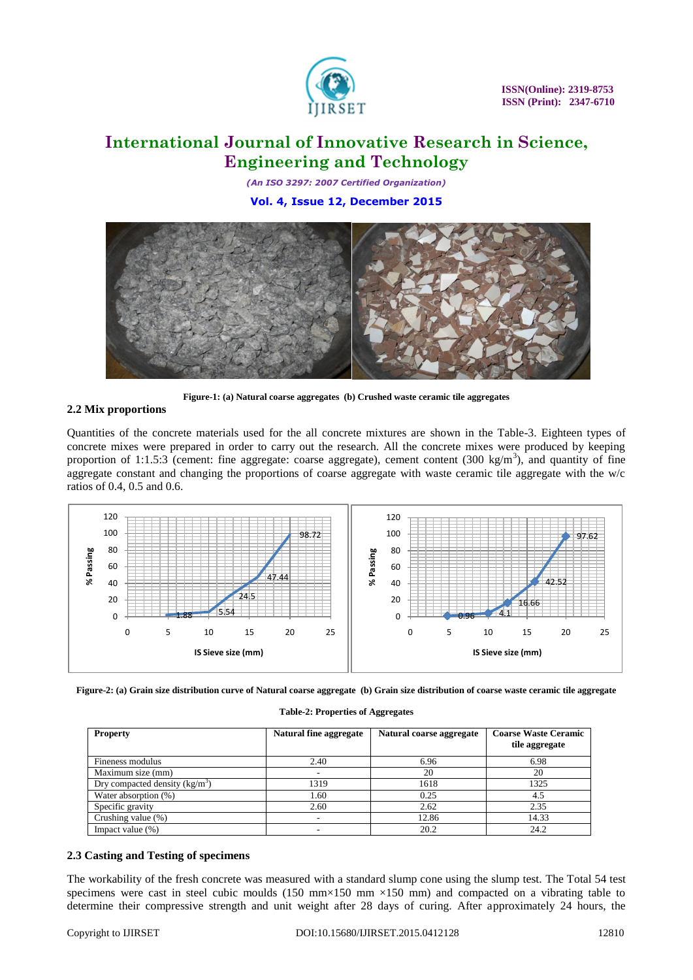

*(An ISO 3297: 2007 Certified Organization)* **Vol. 4, Issue 12, December 2015**



**Figure-1: (a) Natural coarse aggregates (b) Crushed waste ceramic tile aggregates**

# **2.2 Mix proportions**

Quantities of the concrete materials used for the all concrete mixtures are shown in the Table-3. Eighteen types of concrete mixes were prepared in order to carry out the research. All the concrete mixes were produced by keeping proportion of 1:1.5:3 (cement: fine aggregate: coarse aggregate), cement content (300 kg/m<sup>3</sup>), and quantity of fine aggregate constant and changing the proportions of coarse aggregate with waste ceramic tile aggregate with the w/c ratios of 0.4, 0.5 and 0.6.



**Figure-2: (a) Grain size distribution curve of Natural coarse aggregate (b) Grain size distribution of coarse waste ceramic tile aggregate**

|  | Table-2: Properties of Aggregates |
|--|-----------------------------------|
|  |                                   |

| <b>Property</b>                 | Natural fine aggregate | Natural coarse aggregate | <b>Coarse Waste Ceramic</b><br>tile aggregate |
|---------------------------------|------------------------|--------------------------|-----------------------------------------------|
| Fineness modulus                | 2.40                   | 6.96                     | 6.98                                          |
| Maximum size (mm)               | ۰                      | 20                       | 20                                            |
| Dry compacted density $(kg/m3)$ | 1319                   | 1618                     | 1325                                          |
| Water absorption (%)            | 1.60                   | 0.25                     | 4.5                                           |
| Specific gravity                | 2.60                   | 2.62                     | 2.35                                          |
| Crushing value (%)              | ۰                      | 12.86                    | 14.33                                         |
| Impact value $(\%)$             | ۰                      | 20.2                     | 24.2                                          |

# **2.3 Casting and Testing of specimens**

The workability of the fresh concrete was measured with a standard slump cone using the slump test. The Total 54 test specimens were cast in steel cubic moulds (150 mm×150 mm  $\times$ 150 mm) and compacted on a vibrating table to determine their compressive strength and unit weight after 28 days of curing. After approximately 24 hours, the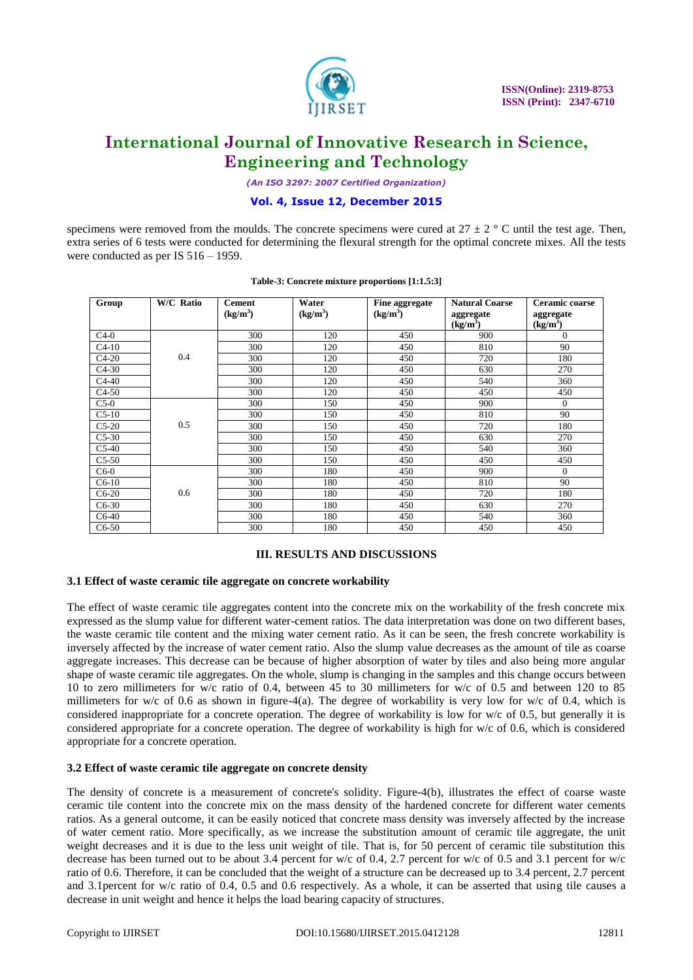

*(An ISO 3297: 2007 Certified Organization)*

### **Vol. 4, Issue 12, December 2015**

specimens were removed from the moulds. The concrete specimens were cured at  $27 \pm 2$  ° C until the test age. Then, extra series of 6 tests were conducted for determining the flexural strength for the optimal concrete mixes. All the tests were conducted as per IS  $516 - 1959$ .

| Group   | <b>W/C Ratio</b> | <b>Cement</b>        | Water      | Fine aggregate       | <b>Natural Coarse</b> | Ceramic coarse       |
|---------|------------------|----------------------|------------|----------------------|-----------------------|----------------------|
|         |                  | (kg/m <sup>3</sup> ) | $(kg/m^3)$ | (kg/m <sup>3</sup> ) | aggregate             | aggregate            |
|         |                  |                      |            |                      | $(kg/m^3)$            | (kg/m <sup>3</sup> ) |
| $C4-0$  |                  | 300                  | 120        | 450                  | 900                   | $\Omega$             |
| $C4-10$ |                  | 300                  | 120        | 450                  | 810                   | 90                   |
| $C4-20$ | 0.4              | 300                  | 120        | 450                  | 720                   | 180                  |
| $C4-30$ |                  | 300                  | 120        | 450                  | 630                   | 270                  |
| $C4-40$ |                  | 300                  | 120        | 450                  | 540                   | 360                  |
| $C4-50$ |                  | 300                  | 120        | 450                  | 450                   | 450                  |
| $C5-0$  |                  | 300                  | 150        | 450                  | 900                   | $\Omega$             |
| $C5-10$ |                  | 300                  | 150        | 450                  | 810                   | 90                   |
| $C5-20$ | 0.5              | 300                  | 150        | 450                  | 720                   | 180                  |
| $C5-30$ |                  | 300                  | 150        | 450                  | 630                   | 270                  |
| $C5-40$ |                  | 300                  | 150        | 450                  | 540                   | 360                  |
| $C5-50$ |                  | 300                  | 150        | 450                  | 450                   | 450                  |
| $C6-0$  |                  | 300                  | 180        | 450                  | 900                   | $\Omega$             |
| $C6-10$ |                  | 300                  | 180        | 450                  | 810                   | 90                   |
| $C6-20$ | 0.6              | 300                  | 180        | 450                  | 720                   | 180                  |
| $C6-30$ |                  | 300                  | 180        | 450                  | 630                   | 270                  |
| $C6-40$ |                  | 300                  | 180        | 450                  | 540                   | 360                  |
| $C6-50$ |                  | 300                  | 180        | 450                  | 450                   | 450                  |

#### **Table-3: Concrete mixture proportions [1:1.5:3]**

# **III. RESULTS AND DISCUSSIONS**

#### **3.1 Effect of waste ceramic tile aggregate on concrete workability**

The effect of waste ceramic tile aggregates content into the concrete mix on the workability of the fresh concrete mix expressed as the slump value for different water-cement ratios. The data interpretation was done on two different bases, the waste ceramic tile content and the mixing water cement ratio. As it can be seen, the fresh concrete workability is inversely affected by the increase of water cement ratio. Also the slump value decreases as the amount of tile as coarse aggregate increases. This decrease can be because of higher absorption of water by tiles and also being more angular shape of waste ceramic tile aggregates. On the whole, slump is changing in the samples and this change occurs between 10 to zero millimeters for w/c ratio of 0.4, between 45 to 30 millimeters for w/c of 0.5 and between 120 to 85 millimeters for w/c of 0.6 as shown in figure-4(a). The degree of workability is very low for w/c of 0.4, which is considered inappropriate for a concrete operation. The degree of workability is low for w/c of 0.5, but generally it is considered appropriate for a concrete operation. The degree of workability is high for w/c of 0.6, which is considered appropriate for a concrete operation.

#### **3.2 Effect of waste ceramic tile aggregate on concrete density**

The density of concrete is a measurement of concrete's solidity. Figure-4(b), illustrates the effect of coarse waste ceramic tile content into the concrete mix on the mass density of the hardened concrete for different water cements ratios. As a general outcome, it can be easily noticed that concrete mass density was inversely affected by the increase of water cement ratio. More specifically, as we increase the substitution amount of ceramic tile aggregate, the unit weight decreases and it is due to the less unit weight of tile. That is, for 50 percent of ceramic tile substitution this decrease has been turned out to be about 3.4 percent for w/c of 0.4, 2.7 percent for w/c of 0.5 and 3.1 percent for w/c ratio of 0.6. Therefore, it can be concluded that the weight of a structure can be decreased up to 3.4 percent, 2.7 percent and 3.1percent for w/c ratio of 0.4, 0.5 and 0.6 respectively. As a whole, it can be asserted that using tile causes a decrease in unit weight and hence it helps the load bearing capacity of structures.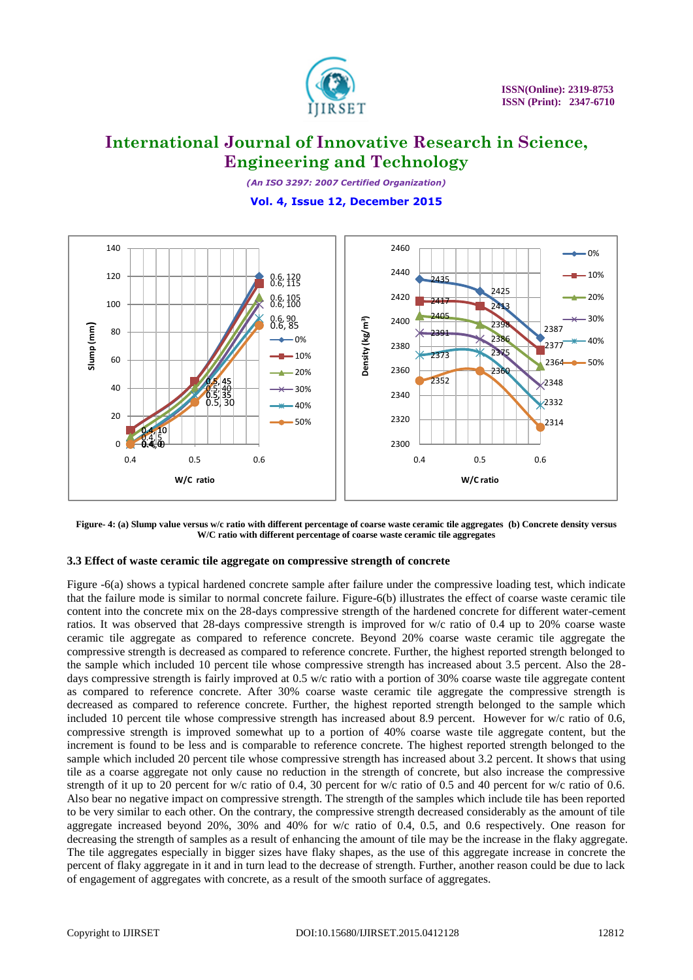

*(An ISO 3297: 2007 Certified Organization)* **Vol. 4, Issue 12, December 2015**



**Figure- 4: (a) Slump value versus w/c ratio with different percentage of coarse waste ceramic tile aggregates (b) Concrete density versus W/C ratio with different percentage of coarse waste ceramic tile aggregates**

# **3.3 Effect of waste ceramic tile aggregate on compressive strength of concrete**

Figure -6(a) shows a typical hardened concrete sample after failure under the compressive loading test, which indicate that the failure mode is similar to normal concrete failure. Figure-6(b) illustrates the effect of coarse waste ceramic tile content into the concrete mix on the 28-days compressive strength of the hardened concrete for different water-cement ratios. It was observed that 28-days compressive strength is improved for w/c ratio of 0.4 up to 20% coarse waste ceramic tile aggregate as compared to reference concrete. Beyond 20% coarse waste ceramic tile aggregate the compressive strength is decreased as compared to reference concrete. Further, the highest reported strength belonged to the sample which included 10 percent tile whose compressive strength has increased about 3.5 percent. Also the 28 days compressive strength is fairly improved at 0.5 w/c ratio with a portion of 30% coarse waste tile aggregate content as compared to reference concrete. After 30% coarse waste ceramic tile aggregate the compressive strength is decreased as compared to reference concrete. Further, the highest reported strength belonged to the sample which included 10 percent tile whose compressive strength has increased about 8.9 percent. However for w/c ratio of 0.6, compressive strength is improved somewhat up to a portion of 40% coarse waste tile aggregate content, but the increment is found to be less and is comparable to reference concrete. The highest reported strength belonged to the sample which included 20 percent tile whose compressive strength has increased about 3.2 percent. It shows that using tile as a coarse aggregate not only cause no reduction in the strength of concrete, but also increase the compressive strength of it up to 20 percent for w/c ratio of 0.4, 30 percent for w/c ratio of 0.5 and 40 percent for w/c ratio of 0.6. Also bear no negative impact on compressive strength. The strength of the samples which include tile has been reported to be very similar to each other. On the contrary, the compressive strength decreased considerably as the amount of tile aggregate increased beyond 20%, 30% and 40% for w/c ratio of 0.4, 0.5, and 0.6 respectively. One reason for decreasing the strength of samples as a result of enhancing the amount of tile may be the increase in the flaky aggregate. The tile aggregates especially in bigger sizes have flaky shapes, as the use of this aggregate increase in concrete the percent of flaky aggregate in it and in turn lead to the decrease of strength. Further, another reason could be due to lack of engagement of aggregates with concrete, as a result of the smooth surface of aggregates.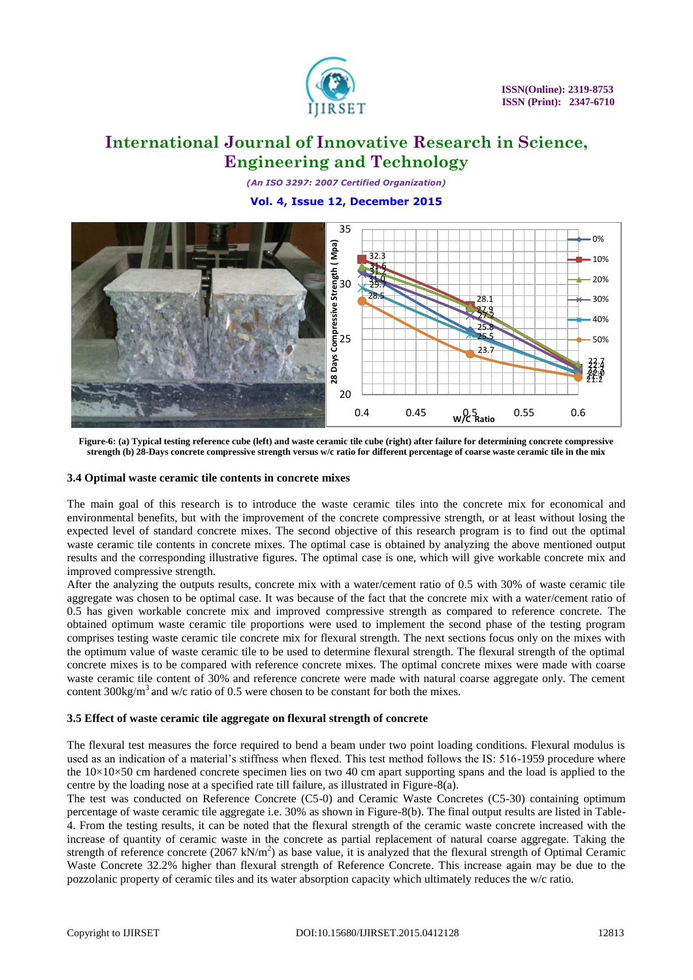

*(An ISO 3297: 2007 Certified Organization)* **Vol. 4, Issue 12, December 2015**



**Figure-6: (a) Typical testing reference cube (left) and waste ceramic tile cube (right) after failure for determining concrete compressive strength (b) 28-Days concrete compressive strength versus w/c ratio for different percentage of coarse waste ceramic tile in the mix**

### **3.4 Optimal waste ceramic tile contents in concrete mixes**

The main goal of this research is to introduce the waste ceramic tiles into the concrete mix for economical and environmental benefits, but with the improvement of the concrete compressive strength, or at least without losing the expected level of standard concrete mixes. The second objective of this research program is to find out the optimal waste ceramic tile contents in concrete mixes. The optimal case is obtained by analyzing the above mentioned output results and the corresponding illustrative figures. The optimal case is one, which will give workable concrete mix and improved compressive strength.

After the analyzing the outputs results, concrete mix with a water/cement ratio of 0.5 with 30% of waste ceramic tile aggregate was chosen to be optimal case. It was because of the fact that the concrete mix with a water/cement ratio of 0.5 has given workable concrete mix and improved compressive strength as compared to reference concrete. The obtained optimum waste ceramic tile proportions were used to implement the second phase of the testing program comprises testing waste ceramic tile concrete mix for flexural strength. The next sections focus only on the mixes with the optimum value of waste ceramic tile to be used to determine flexural strength. The flexural strength of the optimal concrete mixes is to be compared with reference concrete mixes. The optimal concrete mixes were made with coarse waste ceramic tile content of 30% and reference concrete were made with natural coarse aggregate only. The cement content  $300\text{kg/m}^3$  and w/c ratio of 0.5 were chosen to be constant for both the mixes.

# **3.5 Effect of waste ceramic tile aggregate on flexural strength of concrete**

The flexural test measures the force required to bend a beam under two point loading conditions. Flexural modulus is used as an indication of a material's stiffness when flexed. This test method follows the IS: 516-1959 procedure where the  $10\times10\times50$  cm hardened concrete specimen lies on two 40 cm apart supporting spans and the load is applied to the centre by the loading nose at a specified rate till failure, as illustrated in Figure-8(a).

The test was conducted on Reference Concrete (C5-0) and Ceramic Waste Concretes (C5-30) containing optimum percentage of waste ceramic tile aggregate i.e. 30% as shown in Figure-8(b). The final output results are listed in Table-4. From the testing results, it can be noted that the flexural strength of the ceramic waste concrete increased with the increase of quantity of ceramic waste in the concrete as partial replacement of natural coarse aggregate. Taking the strength of reference concrete (2067 kN/m<sup>2</sup>) as base value, it is analyzed that the flexural strength of Optimal Ceramic Waste Concrete 32.2% higher than flexural strength of Reference Concrete. This increase again may be due to the pozzolanic property of ceramic tiles and its water absorption capacity which ultimately reduces the w/c ratio.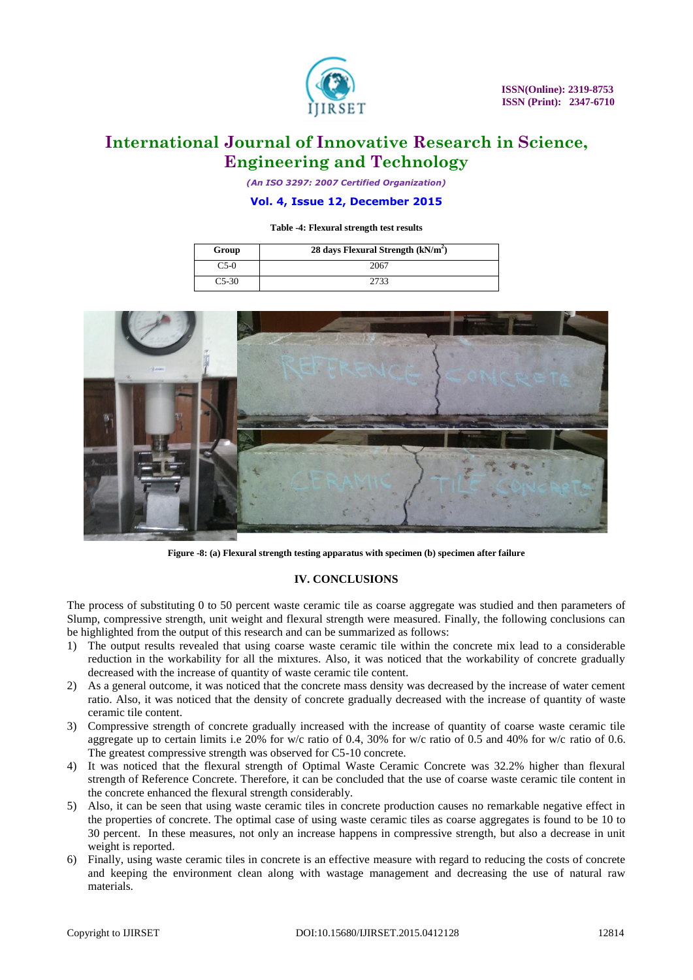

*(An ISO 3297: 2007 Certified Organization)*

### **Vol. 4, Issue 12, December 2015**

#### **Table -4: Flexural strength test results**

| Group      | 28 days Flexural Strength $(kN/m2)$ |
|------------|-------------------------------------|
| $\sim$ 5-0 | 2067                                |
| $C5-30$    | 2733                                |



**Figure -8: (a) Flexural strength testing apparatus with specimen (b) specimen after failure**

# **IV. CONCLUSIONS**

The process of substituting 0 to 50 percent waste ceramic tile as coarse aggregate was studied and then parameters of Slump, compressive strength, unit weight and flexural strength were measured. Finally, the following conclusions can be highlighted from the output of this research and can be summarized as follows:

- 1) The output results revealed that using coarse waste ceramic tile within the concrete mix lead to a considerable reduction in the workability for all the mixtures. Also, it was noticed that the workability of concrete gradually decreased with the increase of quantity of waste ceramic tile content.
- 2) As a general outcome, it was noticed that the concrete mass density was decreased by the increase of water cement ratio. Also, it was noticed that the density of concrete gradually decreased with the increase of quantity of waste ceramic tile content.
- 3) Compressive strength of concrete gradually increased with the increase of quantity of coarse waste ceramic tile aggregate up to certain limits i.e 20% for w/c ratio of 0.4, 30% for w/c ratio of 0.5 and 40% for w/c ratio of 0.6. The greatest compressive strength was observed for C5-10 concrete.
- 4) It was noticed that the flexural strength of Optimal Waste Ceramic Concrete was 32.2% higher than flexural strength of Reference Concrete. Therefore, it can be concluded that the use of coarse waste ceramic tile content in the concrete enhanced the flexural strength considerably.
- 5) Also, it can be seen that using waste ceramic tiles in concrete production causes no remarkable negative effect in the properties of concrete. The optimal case of using waste ceramic tiles as coarse aggregates is found to be 10 to 30 percent. In these measures, not only an increase happens in compressive strength, but also a decrease in unit weight is reported.
- 6) Finally, using waste ceramic tiles in concrete is an effective measure with regard to reducing the costs of concrete and keeping the environment clean along with wastage management and decreasing the use of natural raw materials.